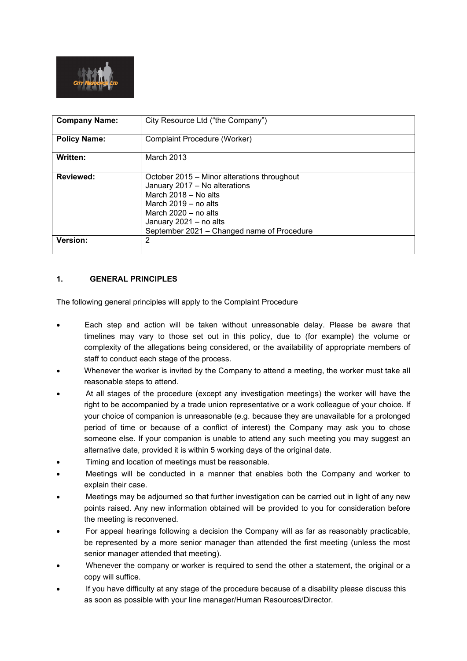

| <b>Company Name:</b> | City Resource Ltd ("the Company")                                                                                                                                                                                                |
|----------------------|----------------------------------------------------------------------------------------------------------------------------------------------------------------------------------------------------------------------------------|
| <b>Policy Name:</b>  | Complaint Procedure (Worker)                                                                                                                                                                                                     |
| Written:             | March 2013                                                                                                                                                                                                                       |
| <b>Reviewed:</b>     | October 2015 – Minor alterations throughout<br>January 2017 - No alterations<br>March 2018 - No alts<br>March $2019 - no$ alts<br>March $2020 - no$ alts<br>January 2021 - no alts<br>September 2021 - Changed name of Procedure |
| Version:             | 2                                                                                                                                                                                                                                |

# **1. GENERAL PRINCIPLES**

The following general principles will apply to the Complaint Procedure

- Each step and action will be taken without unreasonable delay. Please be aware that timelines may vary to those set out in this policy, due to (for example) the volume or complexity of the allegations being considered, or the availability of appropriate members of staff to conduct each stage of the process.
- Whenever the worker is invited by the Company to attend a meeting, the worker must take all reasonable steps to attend.
- At all stages of the procedure (except any investigation meetings) the worker will have the right to be accompanied by a trade union representative or a work colleague of your choice. If your choice of companion is unreasonable (e.g. because they are unavailable for a prolonged period of time or because of a conflict of interest) the Company may ask you to chose someone else. If your companion is unable to attend any such meeting you may suggest an alternative date, provided it is within 5 working days of the original date.
- Timing and location of meetings must be reasonable.
- Meetings will be conducted in a manner that enables both the Company and worker to explain their case.
- Meetings may be adjourned so that further investigation can be carried out in light of any new points raised. Any new information obtained will be provided to you for consideration before the meeting is reconvened.
- For appeal hearings following a decision the Company will as far as reasonably practicable, be represented by a more senior manager than attended the first meeting (unless the most senior manager attended that meeting).
- Whenever the company or worker is required to send the other a statement, the original or a copy will suffice.
- If you have difficulty at any stage of the procedure because of a disability please discuss this as soon as possible with your line manager/Human Resources/Director.